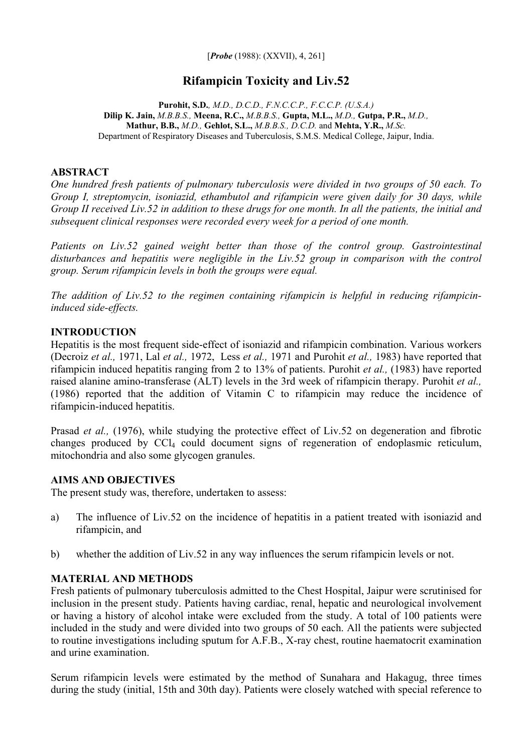[*Probe* (1988): (XXVII), 4, 261]

# **Rifampicin Toxicity and Liv.52**

**Purohit, S.D.***, M.D., D.C.D., F.N.C.C.P., F.C.C.P. (U.S.A.)* **Dilip K. Jain,** *M.B.B.S.,* **Meena, R.C.,** *M.B.B.S.,* **Gupta, M.L.,** *M.D.,* **Gutpa, P.R.,** *M.D.,*  **Mathur, B.B.,** *M.D.,* **Gehlot, S.L.,** *M.B.B.S., D.C.D.* and **Mehta, Y.R.,** *M.Sc.* Department of Respiratory Diseases and Tuberculosis, S.M.S. Medical College, Jaipur, India.

## **ABSTRACT**

*One hundred fresh patients of pulmonary tuberculosis were divided in two groups of 50 each. To Group I, streptomycin, isoniazid, ethambutol and rifampicin were given daily for 30 days, while Group II received Liv.52 in addition to these drugs for one month. In all the patients, the initial and subsequent clinical responses were recorded every week for a period of one month.* 

*Patients on Liv.52 gained weight better than those of the control group. Gastrointestinal disturbances and hepatitis were negligible in the Liv.52 group in comparison with the control group. Serum rifampicin levels in both the groups were equal.* 

*The addition of Liv.52 to the regimen containing rifampicin is helpful in reducing rifampicininduced side-effects.*

#### **INTRODUCTION**

Hepatitis is the most frequent side-effect of isoniazid and rifampicin combination. Various workers (Decroiz *et al.,* 1971, Lal *et al.,* 1972, Less *et al.,* 1971 and Purohit *et al.,* 1983) have reported that rifampicin induced hepatitis ranging from 2 to 13% of patients. Purohit *et al.,* (1983) have reported raised alanine amino-transferase (ALT) levels in the 3rd week of rifampicin therapy. Purohit *et al.,* (1986) reported that the addition of Vitamin C to rifampicin may reduce the incidence of rifampicin-induced hepatitis.

Prasad *et al.,* (1976), while studying the protective effect of Liv.52 on degeneration and fibrotic changes produced by CCl4 could document signs of regeneration of endoplasmic reticulum, mitochondria and also some glycogen granules.

# **AIMS AND OBJECTIVES**

The present study was, therefore, undertaken to assess:

- a) The influence of Liv.52 on the incidence of hepatitis in a patient treated with isoniazid and rifampicin, and
- b) whether the addition of Liv.52 in any way influences the serum rifampicin levels or not.

# **MATERIAL AND METHODS**

Fresh patients of pulmonary tuberculosis admitted to the Chest Hospital, Jaipur were scrutinised for inclusion in the present study. Patients having cardiac, renal, hepatic and neurological involvement or having a history of alcohol intake were excluded from the study. A total of 100 patients were included in the study and were divided into two groups of 50 each. All the patients were subjected to routine investigations including sputum for A.F.B., X-ray chest, routine haematocrit examination and urine examination.

Serum rifampicin levels were estimated by the method of Sunahara and Hakagug, three times during the study (initial, 15th and 30th day). Patients were closely watched with special reference to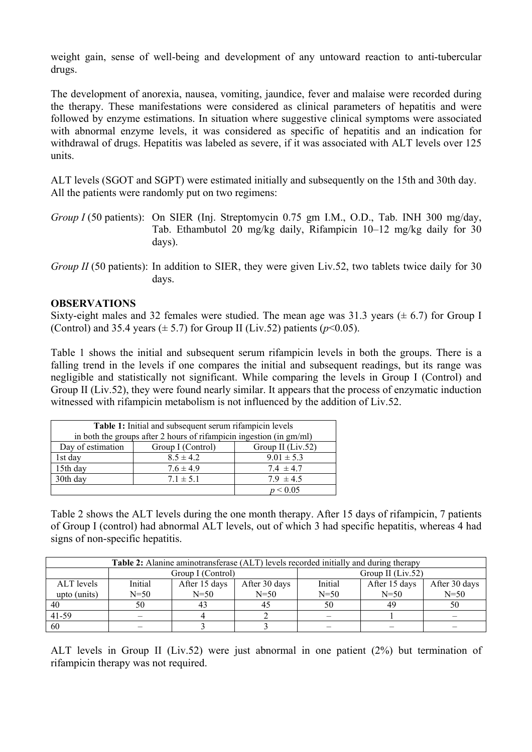weight gain, sense of well-being and development of any untoward reaction to anti-tubercular drugs.

The development of anorexia, nausea, vomiting, jaundice, fever and malaise were recorded during the therapy. These manifestations were considered as clinical parameters of hepatitis and were followed by enzyme estimations. In situation where suggestive clinical symptoms were associated with abnormal enzyme levels, it was considered as specific of hepatitis and an indication for withdrawal of drugs. Hepatitis was labeled as severe, if it was associated with ALT levels over 125 units.

ALT levels (SGOT and SGPT) were estimated initially and subsequently on the 15th and 30th day. All the patients were randomly put on two regimens:

*Group I* (50 patients): On SIER (Inj. Streptomycin 0.75 gm I.M., O.D., Tab. INH 300 mg/day, Tab. Ethambutol 20 mg/kg daily, Rifampicin 10–12 mg/kg daily for 30 days).

#### **OBSERVATIONS**

Sixty-eight males and 32 females were studied. The mean age was 31.3 years  $(\pm 6.7)$  for Group I (Control) and 35.4 years  $(\pm 5.7)$  for Group II (Liv.52) patients ( $p \le 0.05$ ).

Table 1 shows the initial and subsequent serum rifampicin levels in both the groups. There is a falling trend in the levels if one compares the initial and subsequent readings, but its range was negligible and statistically not significant. While comparing the levels in Group I (Control) and Group II (Liv.52), they were found nearly similar. It appears that the process of enzymatic induction witnessed with rifampicin metabolism is not influenced by the addition of Liv.52.

| Table 1: Initial and subsequent serum rifampicin levels             |                   |                   |  |  |
|---------------------------------------------------------------------|-------------------|-------------------|--|--|
| in both the groups after 2 hours of rifampicin ingestion (in gm/ml) |                   |                   |  |  |
| Day of estimation                                                   | Group I (Control) | Group II (Liv.52) |  |  |
| 1st day                                                             | $8.5 \pm 4.2$     | $9.01 \pm 5.3$    |  |  |
| 15th day                                                            | $7.6 \pm 4.9$     | $7.4 \pm 4.7$     |  |  |
| 30th day                                                            | $7.1 \pm 5.1$     | $7.9 \pm 4.5$     |  |  |
|                                                                     |                   | p < 0.05          |  |  |

Table 2 shows the ALT levels during the one month therapy. After 15 days of rifampicin, 7 patients of Group I (control) had abnormal ALT levels, out of which 3 had specific hepatitis, whereas 4 had signs of non-specific hepatitis.

| <b>Table 2:</b> Alanine aminotransferase (ALT) levels recorded initially and during therapy |                   |               |                     |          |               |               |
|---------------------------------------------------------------------------------------------|-------------------|---------------|---------------------|----------|---------------|---------------|
|                                                                                             | Group I (Control) |               | Group II $(Liv.52)$ |          |               |               |
| ALT levels                                                                                  | Initial           | After 15 days | After 30 days       | Initial  | After 15 days | After 30 days |
| upto (units)                                                                                | $N=50$            | $N = 50$      | $N = 50$            | $N = 50$ | $N = 50$      | $N=50$        |
| 40                                                                                          | 50                | 43            |                     | 50       | 49            | 50            |
| 41-59                                                                                       |                   |               |                     |          |               |               |
| 60                                                                                          |                   |               |                     |          |               |               |

ALT levels in Group II (Liv.52) were just abnormal in one patient (2%) but termination of rifampicin therapy was not required.

*Group II* (50 patients): In addition to SIER, they were given Liv.52, two tablets twice daily for 30 days.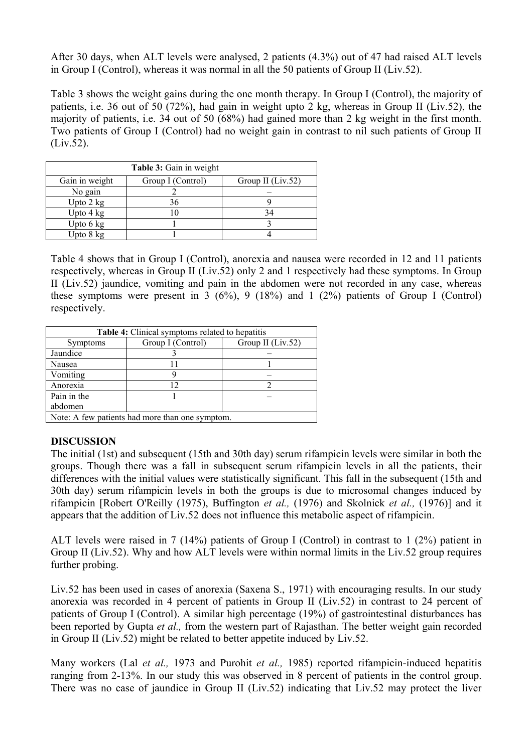After 30 days, when ALT levels were analysed, 2 patients (4.3%) out of 47 had raised ALT levels in Group I (Control), whereas it was normal in all the 50 patients of Group II (Liv.52).

Table 3 shows the weight gains during the one month therapy. In Group I (Control), the majority of patients, i.e. 36 out of 50 (72%), had gain in weight upto 2 kg, whereas in Group II (Liv.52), the majority of patients, i.e. 34 out of 50 (68%) had gained more than 2 kg weight in the first month. Two patients of Group I (Control) had no weight gain in contrast to nil such patients of Group II (Liv.52).

| Table 3: Gain in weight |                   |                   |  |  |
|-------------------------|-------------------|-------------------|--|--|
| Gain in weight          | Group I (Control) | Group II (Liv.52) |  |  |
| No gain                 |                   |                   |  |  |
| Upto 2 kg               |                   |                   |  |  |
| Upto $4 \text{ kg}$     |                   |                   |  |  |
| Upto $6 \text{ kg}$     |                   |                   |  |  |
| Upto 8 kg               |                   |                   |  |  |

Table 4 shows that in Group I (Control), anorexia and nausea were recorded in 12 and 11 patients respectively, whereas in Group II (Liv.52) only 2 and 1 respectively had these symptoms. In Group II (Liv.52) jaundice, vomiting and pain in the abdomen were not recorded in any case, whereas these symptoms were present in 3  $(6\%)$ , 9  $(18\%)$  and 1  $(2\%)$  patients of Group I (Control) respectively.

| Table 4: Clinical symptoms related to hepatitis |                   |                   |  |  |
|-------------------------------------------------|-------------------|-------------------|--|--|
| <b>Symptoms</b>                                 | Group I (Control) | Group II (Liv.52) |  |  |
| Jaundice                                        |                   |                   |  |  |
| Nausea                                          |                   |                   |  |  |
| Vomiting                                        |                   |                   |  |  |
| Anorexia                                        |                   |                   |  |  |
| Pain in the                                     |                   |                   |  |  |
| abdomen                                         |                   |                   |  |  |
| Note: A few patients had more than one symptom. |                   |                   |  |  |

# **DISCUSSION**

The initial (1st) and subsequent (15th and 30th day) serum rifampicin levels were similar in both the groups. Though there was a fall in subsequent serum rifampicin levels in all the patients, their differences with the initial values were statistically significant. This fall in the subsequent (15th and 30th day) serum rifampicin levels in both the groups is due to microsomal changes induced by rifampicin [Robert O'Reilly (1975), Buffington *et al.,* (1976) and Skolnick *et al.,* (1976)] and it appears that the addition of Liv.52 does not influence this metabolic aspect of rifampicin.

ALT levels were raised in 7 (14%) patients of Group I (Control) in contrast to 1 (2%) patient in Group II (Liv.52). Why and how ALT levels were within normal limits in the Liv.52 group requires further probing.

Liv.52 has been used in cases of anorexia (Saxena S., 1971) with encouraging results. In our study anorexia was recorded in 4 percent of patients in Group II (Liv.52) in contrast to 24 percent of patients of Group I (Control). A similar high percentage (19%) of gastrointestinal disturbances has been reported by Gupta *et al.,* from the western part of Rajasthan. The better weight gain recorded in Group II (Liv.52) might be related to better appetite induced by Liv.52.

Many workers (Lal *et al.,* 1973 and Purohit *et al.,* 1985) reported rifampicin-induced hepatitis ranging from 2-13%. In our study this was observed in 8 percent of patients in the control group. There was no case of jaundice in Group II (Liv.52) indicating that Liv.52 may protect the liver